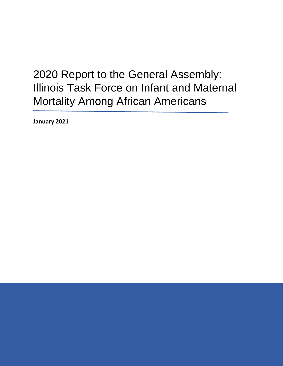# 2020 Report to the General Assembly: Illinois Task Force on Infant and Maternal Mortality Among African Americans

**January 2021**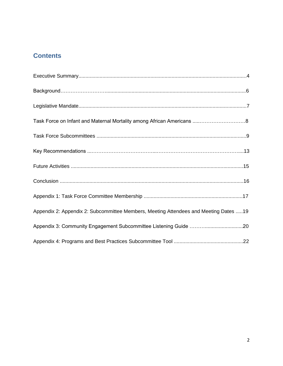# **Contents**

| Appendix 2: Appendix 2: Subcommittee Members, Meeting Attendees and Meeting Dates 19 |  |
|--------------------------------------------------------------------------------------|--|
|                                                                                      |  |
|                                                                                      |  |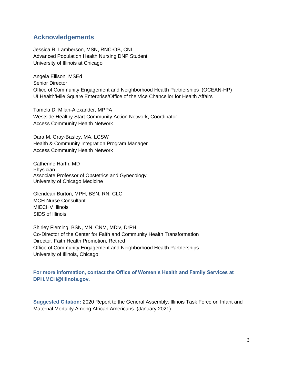# **Acknowledgements**

Jessica R. Lamberson, MSN, RNC-OB, CNL Advanced Population Health Nursing DNP Student University of Illinois at Chicago

Angela Ellison, MSEd Senior Director Office of Community Engagement and Neighborhood Health Partnerships (OCEAN-HP) UI Health/Mile Square Enterprise/Office of the Vice Chancellor for Health Affairs

Tamela D. Milan-Alexander, MPPA Westside Healthy Start Community Action Network, Coordinator Access Community Health Network

Dara M. Gray-Basley, MA, LCSW Health & Community Integration Program Manager Access Community Health Network

Catherine Harth, MD **Physician** Associate Professor of Obstetrics and Gynecology University of Chicago Medicine

Glendean Burton, MPH, BSN, RN, CLC MCH Nurse Consultant MIECHV Illinois SIDS of Illinois

Shirley Fleming, BSN, MN, CNM, MDiv, DrPH Co-Director of the Center for Faith and Community Health Transformation Director, Faith Health Promotion, Retired Office of Community Engagement and Neighborhood Health Partnerships University of Illinois, Chicago

**For more information, contact the Office of Women's Health and Family Services at DPH.MCH@illinois.gov.**

**Suggested Citation:** 2020 Report to the General Assembly: Illinois Task Force on Infant and Maternal Mortality Among African Americans. (January 2021)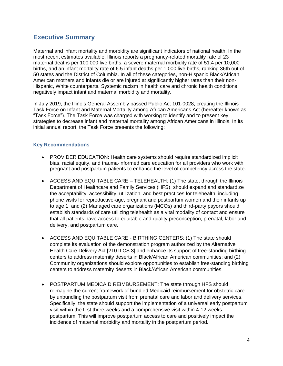# **Executive Summary**

Maternal and infant mortality and morbidity are significant indicators of national health. In the most recent estimates available, Illinois reports a pregnancy-related mortality rate of 23 maternal deaths per 100,000 live births, a severe maternal morbidity rate of 51.4 per 10,000 births, and an infant mortality rate of 6.5 infant deaths per 1,000 live births, ranking 36th out of 50 states and the District of Columbia. In all of these categories, non-Hispanic Black/African American mothers and infants die or are injured at significantly higher rates than their non-Hispanic, White counterparts. Systemic racism in health care and chronic health conditions negatively impact infant and maternal morbidity and mortality.

In July 2019, the Illinois General Assembly passed Public Act 101-0028, creating the Illinois Task Force on Infant and Maternal Mortality among African Americans Act (hereafter known as "Task Force"). The Task Force was charged with working to identify and to present key strategies to decrease infant and maternal mortality among African Americans in Illinois. In its initial annual report, the Task Force presents the following:

## **Key Recommendations**

- PROVIDER EDUCATION: Health care systems should require standardized implicit bias, racial equity, and trauma-informed care education for all providers who work with pregnant and postpartum patients to enhance the level of competency across the state.
- ACCESS AND EQUITABLE CARE TELEHEALTH: (1) The state, through the Illinois Department of Healthcare and Family Services (HFS), should expand and standardize the acceptability, accessibility, utilization, and best practices for telehealth, including phone visits for reproductive-age, pregnant and postpartum women and their infants up to age 1; and (2) Managed care organizations (MCOs) and third-party payors should establish standards of care utilizing telehealth as a vital modality of contact and ensure that all patients have access to equitable and quality preconception, prenatal, labor and delivery, and postpartum care.
- ACCESS AND EQUITABLE CARE BIRTHING CENTERS: (1) The state should complete its evaluation of the demonstration program authorized by the Alternative Health Care Delivery Act [210 ILCS 3] and enhance its support of free-standing birthing centers to address maternity deserts in Black/African American communities; and (2) Community organizations should explore opportunities to establish free-standing birthing centers to address maternity deserts in Black/African American communities.
- POSTPARTUM MEDICAID REIMBURSEMENT: The state through HFS should reimagine the current framework of bundled Medicaid reimbursement for obstetric care by unbundling the postpartum visit from prenatal care and labor and delivery services. Specifically, the state should support the implementation of a universal early postpartum visit within the first three weeks and a comprehensive visit within 4-12 weeks postpartum. This will improve postpartum access to care and positively impact the incidence of maternal morbidity and mortality in the postpartum period.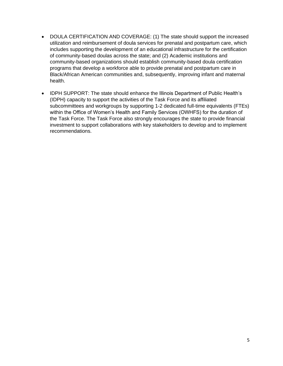- DOULA CERTIFICATION AND COVERAGE: (1) The state should support the increased utilization and reimbursement of doula services for prenatal and postpartum care, which includes supporting the development of an educational infrastructure for the certification of community-based doulas across the state; and (2) Academic institutions and community-based organizations should establish community-based doula certification programs that develop a workforce able to provide prenatal and postpartum care in Black/African American communities and, subsequently, improving infant and maternal health.
- IDPH SUPPORT: The state should enhance the Illinois Department of Public Health's (IDPH) capacity to support the activities of the Task Force and its affiliated subcommittees and workgroups by supporting 1-2 dedicated full-time equivalents (FTEs) within the Office of Women's Health and Family Services (OWHFS) for the duration of the Task Force. The Task Force also strongly encourages the state to provide financial investment to support collaborations with key stakeholders to develop and to implement recommendations.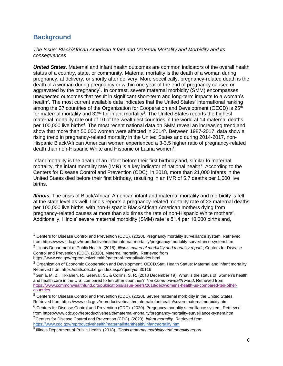# **Background**

*The Issue: Black/African American Infant and Maternal Mortality and Morbidity and its consequences*

*United States.* Maternal and infant health outcomes are common indicators of the overall health status of a country, state, or community. Maternal mortality is the death of a woman during pregnancy, at delivery, or shortly after delivery. More specifically, pregnancy-related death is the death of a woman during pregnancy or within one year of the end of pregnancy caused or aggravated by the pregnancy<sup>1</sup>. In contrast, severe maternal morbidity (SMM) encompasses unexpected outcomes that result in significant short-term and long-term impacts to a woman's health<sup>2</sup>. The most current available data indicates that the United States' international ranking among the 37 countries of the Organization for Cooperation and Development (OECD) is 25<sup>th</sup> for maternal mortality and  $32^{\text{nd}}$  for infant mortality<sup>3</sup>. The United States reports the highest maternal mortality rate out of 10 of the wealthiest countries in the world at 14 maternal deaths per 100,000 live births<sup>4</sup>. The most recent national data on SMM reveal an increasing trend and show that more than 50,000 women were affected in 2014<sup>5</sup>. Between 1987-2017, data show a rising trend in pregnancy-related mortality in the United States and during 2014-2017, non-Hispanic Black/African American women experienced a 3-3.5 higher ratio of pregnancy-related death than non-Hispanic White and Hispanic or Latina women<sup>6</sup>.

Infant mortality is the death of an infant before their first birthday and, similar to maternal mortality, the infant mortality rate (IMR) is a key indicator of national health<sup>7</sup>. According to the Centers for Disease Control and Prevention (CDC), in 2018, more than 21,000 infants in the United States died before their first birthday, resulting in an IMR of 5.7 deaths per 1,000 live births.

*Illinois.* The crisis of Black/African American infant and maternal mortality and morbidity is felt at the state level as well. Illinois reports a pregnancy-related mortality rate of 23 maternal deaths per 100,000 live births, with non-Hispanic Black/African American mothers dying from pregnancy-related causes at more than six times the rate of non-Hispanic White mothers<sup>8</sup>. Additionally, Illinois' severe maternal morbidity (SMM) rate is 51.4 per 10,000 births and,

 $1$  Centers for Disease Control and Prevention (CDC). (2020). Pregnancy mortality surveillance system. Retrieved from https://www.cdc.gov/reproductivehealth/maternal-mortality/pregnancy-mortality-surveillance-system.htm

<sup>2</sup> Illinois Department of Public Health. (2018). *Illinois maternal morbidity and mortality report*.; Centers for Disease Control and Prevention (CDC). (2020). Maternal mortality. Retrieved from

https://www.cdc.gov/reproductivehealth/maternal-mortality/index.html

<sup>&</sup>lt;sup>3</sup> Organization of Economic Cooperation and Development. OECD.Stat, Health Status: Maternal and infant mortality. Retrieved from https://stats.oecd.org/index.aspx?queryid=30116

<sup>4</sup> Gunia, M. Z., Tikkanen, R., Seervai, S., & Collins, S. R. (2018 December 19). What is the status of women's health and health care in the U.S. compared to ten other countries? *The Commonwealth Fund*. Retrieved from [https://www.commonwealthfund.org/publications/issue-briefs/2018/dec/womens-health-us-compared-ten-other](https://www.commonwealthfund.org/publications/issue-briefs/2018/dec/womens-health-%09us-compared-ten-other-countries)[countries](https://www.commonwealthfund.org/publications/issue-briefs/2018/dec/womens-health-%09us-compared-ten-other-countries)

<sup>&</sup>lt;sup>5</sup> Centers for Disease Control and Prevention (CDC). (2020). Severe maternal morbidity in the United States. Retrieved from https://www.cdc.gov/reproductivehealth/maternalinfanthealth/severematernalmorbidity.html

 $6$  Centers for Disease Control and Prevention (CDC). (2020). Pregnancy mortality surveillance system. Retrieved from https://www.cdc.gov/reproductivehealth/maternal-mortality/pregnancy-mortality-surveillance-system.htm

<sup>7</sup> Centers for Disease Control and Prevention (CDC). (2020). *Infant mortality.* Retrieved from <https://www.cdc.gov/reproductivehealth/maternalinfanthealth/infantmortality.htm>

<sup>8</sup> Illinois Department of Public Health. (2018). *Illinois maternal morbidity and mortality report*.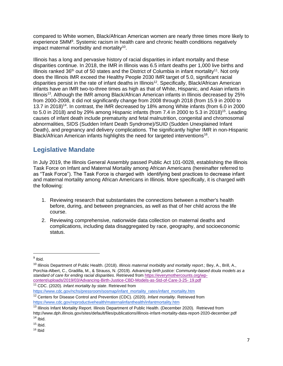compared to White women, Black/African American women are nearly three times more likely to experience SMM<sup>9</sup>. Systemic racism in health care and chronic health conditions negatively impact maternal morbidity and mortality<sup>10</sup>.

Illinois has a long and pervasive history of racial disparities in infant mortality and these disparities continue. In 2018, the IMR in Illinois was 6.5 infant deaths per 1,000 live births and Illinois ranked 36<sup>th</sup> out of 50 states and the District of Columbia in infant mortality<sup>11</sup>. Not only does the Illinois IMR exceed the Healthy People 2030 IMR target of 5.0, significant racial disparities persist in the rate of infant deaths in Illinois<sup>12</sup>. Specifically, Black/African American infants have an IMR two-to-three times as high as that of White, Hispanic, and Asian infants in Illinois<sup>13</sup>. Although the IMR among Black/African American infants in Illinois decreased by 25% from 2000-2008, it did not significantly change from 2008 through 2018 (from 15.9 in 2000 to 13.7 in 2018)<sup>14</sup>. In contrast, the IMR decreased by 18% among White infants (from 6.0 in 2000 to 5.0 in 2018) and by 29% among Hispanic infants (from 7.4 in 2000 to 5.3 in 2018)<sup>15</sup>. Leading causes of infant death include prematurity and fetal malnutrition, congenital and chromosomal abnormalities, SIDS (Sudden Infant Death Syndrome)/SUID (Sudden Unexplained Infant Death), and pregnancy and delivery complications. The significantly higher IMR in non-Hispanic Black/African American infants highlights the need for targeted interventions<sup>16</sup>.

# **Legislative Mandate**

In July 2019, the Illinois General Assembly passed Public Act 101-0028, establishing the Illinois Task Force on Infant and Maternal Mortality among African Americans (hereinafter referred to as "Task Force"). The Task Force is charged with identifying best practices to decrease infant and maternal mortality among African Americans in Illinois. More specifically, it is charged with the following:

- 1. Reviewing research that substantiates the connections between a mother's health before, during, and between pregnancies, as well as that of her child across the life course.
- 2. Reviewing comprehensive, nationwide data collection on maternal deaths and complications, including data disaggregated by race, geography, and socioeconomic status.

<sup>&</sup>lt;sup>9</sup> Ibid.

<sup>10</sup> Illinois Department of Public Health. (2018). *Illinois maternal morbidity and mortality report*.; Bey, A., Brill, A., Porchia-Albert, C., Gradilla, M., & Strauss, N. (2019). *Advancing birth justice: Community-based doula models as a standard of care for ending racial disparities*. Retrieved fro[m](https://everymothercounts.org/wp-%09content/uploads/2019/03/Advancing-Birth-Justice-CBD-Models-as-Std-of-Care-3-25-%0919.pdf) [https://everymothercounts.org/wp](https://everymothercounts.org/wp-%09content/uploads/2019/03/Advancing-Birth-Justice-CBD-Models-as-Std-of-Care-3-25-%0919.pdf)[content/uploads/2019/03/Advancing-Birth-Justice-CBD-Models-as-Std-of-Care-3-25-](https://everymothercounts.org/wp-%09content/uploads/2019/03/Advancing-Birth-Justice-CBD-Models-as-Std-of-Care-3-25-%0919.pdf) 19.pdf

<sup>11</sup> CDC. (2020). *Infant mortality by state*. Retrieved from

[https://www.cdc.gov/nchs/pressroom/sosmap/infant\\_mortality\\_rates/infant\\_mortality.htm](https://www.cdc.gov/nchs/pressroom/sosmap/infant_mortality_rates/infant_mortality.htm) <sup>12</sup> Centers for Disease Control and Prevention (CDC). (2020). *Infant mortality.* Retrieved from <https://www.cdc.gov/reproductivehealth/maternalinfanthealth/infantmortality.htm>

<sup>&</sup>lt;sup>13</sup> Illinois Infant Mortality Report. Illinois Department of Public Health. (December 2020). Retrieved from http://www.dph.illinois.gov/sites/default/files/publications/illinois-infant-mortality-data-report-2020-december.pdf  $14$  Ibid.

 $15$  Ibid.

<sup>16</sup> Ibid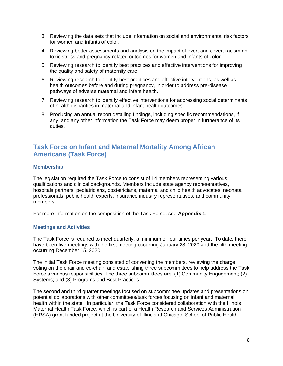- 3. Reviewing the data sets that include information on social and environmental risk factors for women and infants of color.
- 4. Reviewing better assessments and analysis on the impact of overt and covert racism on toxic stress and pregnancy-related outcomes for women and infants of color.
- 5. Reviewing research to identify best practices and effective interventions for improving the quality and safety of maternity care.
- 6. Reviewing research to identify best practices and effective interventions, as well as health outcomes before and during pregnancy, in order to address pre-disease pathways of adverse maternal and infant health.
- 7. Reviewing research to identify effective interventions for addressing social determinants of health disparities in maternal and infant health outcomes.
- 8. Producing an annual report detailing findings, including specific recommendations, if any, and any other information the Task Force may deem proper in furtherance of its duties.

# **Task Force on Infant and Maternal Mortality Among African Americans (Task Force)**

## **Membership**

The legislation required the Task Force to consist of 14 members representing various qualifications and clinical backgrounds. Members include state agency representatives, hospitals partners, pediatricians, obstetricians, maternal and child health advocates, neonatal professionals, public health experts, insurance industry representatives, and community members.

For more information on the composition of the Task Force, see **Appendix 1.** 

## **Meetings and Activities**

The Task Force is required to meet quarterly, a minimum of four times per year. To date, there have been five meetings with the first meeting occurring January 28, 2020 and the fifth meeting occurring December 15, 2020.

The initial Task Force meeting consisted of convening the members, reviewing the charge, voting on the chair and co-chair, and establishing three subcommittees to help address the Task Force's various responsibilities. The three subcommittees are: (1) Community Engagement; (2) Systems; and (3) Programs and Best Practices.

The second and third quarter meetings focused on subcommittee updates and presentations on potential collaborations with other committees/task forces focusing on infant and maternal health within the state. In particular, the Task Force considered collaboration with the Illinois Maternal Health Task Force, which is part of a Health Research and Services Administration (HRSA) grant funded project at the University of Illinois at Chicago, School of Public Health.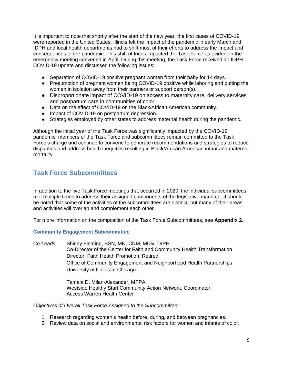It is important to note that shortly after the start of the new year, the first cases of COVID-19 were reported in the United States. Illinois felt the impact of the pandemic in early March and IDPH and local health departments had to shift most of their efforts to address the impact and consequences of the pandemic. This shift of focus impacted the Task Force as evident in the emergency meeting convened in April. During this meeting, the Task Force received an IDPH COVID-19 update and discussed the following issues:

- Separation of COVID-19 positive pregnant women from their baby for 14 days.
- Presumption of pregnant women being COVID-19 positive while laboring and putting the women in isolation away from their partners or support person(s).
- Disproportionate impact of COVID-19 on access to maternity care, delivery services and postpartum care in communities of color.
- Data on the effect of COVID-19 on the Black/African American community.
- Impact of COVID-19 on postpartum depression.
- Strategies employed by other states to address maternal health during the pandemic.

Although the initial year of the Task Force was significantly impacted by the COVID-19 pandemic, members of the Task Force and subcommittees remain committed to the Task Force's charge and continue to convene to generate recommendations and strategies to reduce disparities and address health inequities resulting in Black/African American infant and maternal mortality.

# **Task Force Subcommittees**

In addition to the five Task Force meetings that occurred in 2020, the individual subcommittees met multiple times to address their assigned components of the legislative mandate. It should be noted that some of the activities of the subcommittees are distinct, but many of their areas and activities will overlap and complement each other.

For more information on the composition of the Task Force Subcommittees, see **Appendix 2.**

## **Community Engagement Subcommittee**

*Co-Leads*: Shirley Fleming, BSN, MN, CNM, MDiv, DrPH Co-Director of the Center for Faith and Community Health Transformation Director, Faith Health Promotion, Retired Office of Community Engagement and Neighborhood Health Partnerships University of Illinois at Chicago

> Tamela D. Milan-Alexander, MPPA Westside Healthy Start Community Action Network, Coordinator Access Warren Health Center

*Objectives of Overall Task Force Assigned to the Subcommittee:*

- 1. Research regarding women's health before, during, and between pregnancies.
- 2. Review data on social and environmental risk factors for women and infants of color.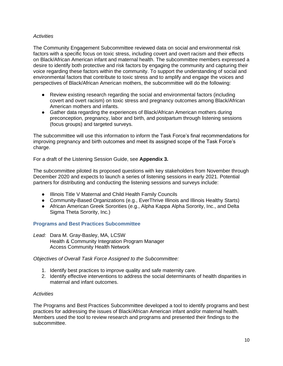## *Activities*

The Community Engagement Subcommittee reviewed data on social and environmental risk factors with a specific focus on toxic stress, including covert and overt racism and their effects on Black/African American infant and maternal health. The subcommittee members expressed a desire to identify both protective and risk factors by engaging the community and capturing their voice regarding these factors within the community. To support the understanding of social and environmental factors that contribute to toxic stress and to amplify and engage the voices and perspectives of Black/African American mothers, the subcommittee will do the following:

- Review existing research regarding the social and environmental factors (including covert and overt racism) on toxic stress and pregnancy outcomes among Black/African American mothers and infants.
- Gather data regarding the experiences of Black/African American mothers during preconception, pregnancy, labor and birth, and postpartum through listening sessions (focus groups) and targeted surveys.

The subcommittee will use this information to inform the Task Force's final recommendations for improving pregnancy and birth outcomes and meet its assigned scope of the Task Force's charge.

For a draft of the Listening Session Guide, see **Appendix 3.** 

The subcommittee piloted its proposed questions with key stakeholders from November through December 2020 and expects to launch a series of listening sessions in early 2021. Potential partners for distributing and conducting the listening sessions and surveys include:

- Illinois Title V Maternal and Child Health Family Councils
- Community-Based Organizations (e.g., EverThrive Illinois and Illinois Healthy Starts)
- African American Greek Sororities (e.g., Alpha Kappa Alpha Sorority, Inc., and Delta Sigma Theta Sorority, Inc.)

## **Programs and Best Practices Subcommittee**

*Lead:* Dara M. Gray-Basley, MA, LCSW Health & Community Integration Program Manager Access Community Health Network

*Objectives of Overall Task Force Assigned to the Subcommittee:* 

- 1. Identify best practices to improve quality and safe maternity care.
- 2. Identify effective interventions to address the social determinants of health disparities in maternal and infant outcomes.

#### *Activities*

The Programs and Best Practices Subcommittee developed a tool to identify programs and best practices for addressing the issues of Black/African American infant and/or maternal health. Members used the tool to review research and programs and presented their findings to the subcommittee.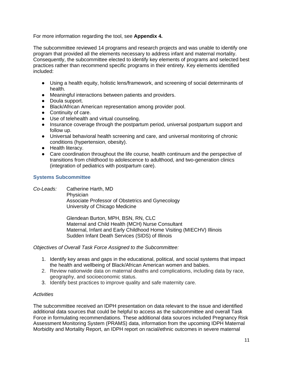For more information regarding the tool, see **Appendix 4.** 

The subcommittee reviewed 14 programs and research projects and was unable to identify one program that provided all the elements necessary to address infant and maternal mortality. Consequently, the subcommittee elected to identify key elements of programs and selected best practices rather than recommend specific programs in their entirety. Key elements identified included:

- Using a health equity, holistic lens/framework, and screening of social determinants of health.
- Meaningful interactions between patients and providers.
- Doula support.
- Black/African American representation among provider pool.
- Continuity of care.
- Use of telehealth and virtual counseling.
- Insurance coverage through the postpartum period, universal postpartum support and follow up.
- Universal behavioral health screening and care, and universal monitoring of chronic conditions (hypertension, obesity).
- Health literacy.
- Care coordination throughout the life course, health continuum and the perspective of transitions from childhood to adolescence to adulthood, and two-generation clinics (integration of pediatrics with postpartum care).

## **Systems Subcommittee**

*Co-Leads:* Catherine Harth, MD **Physician** Associate Professor of Obstetrics and Gynecology University of Chicago Medicine

> Glendean Burton, MPH, BSN, RN, CLC Maternal and Child Health (MCH) Nurse Consultant Maternal, Infant and Early Childhood Home Visiting (MIECHV) Illinois Sudden Infant Death Services (SIDS) of Illinois

*Objectives of Overall Task Force Assigned to the Subcommittee:*

- 1. Identify key areas and gaps in the educational, political, and social systems that impact the health and wellbeing of Black/African American women and babies.
- 2. Review nationwide data on maternal deaths and complications, including data by race, geography, and socioeconomic status.
- 3. Identify best practices to improve quality and safe maternity care.

## *Activities*

The subcommittee received an IDPH presentation on data relevant to the issue and identified additional data sources that could be helpful to access as the subcommittee and overall Task Force in formulating recommendations. These additional data sources included Pregnancy Risk Assessment Monitoring System (PRAMS) data, information from the upcoming IDPH Maternal Morbidity and Mortality Report, an IDPH report on racial/ethnic outcomes in severe maternal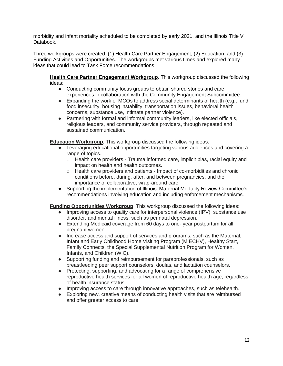morbidity and infant mortality scheduled to be completed by early 2021, and the Illinois Title V Databook.

Three workgroups were created: (1) Health Care Partner Engagement; (2) Education; and (3) Funding Activities and Opportunities. The workgroups met various times and explored many ideas that could lead to Task Force recommendations.

**Health Care Partner Engagement Workgroup***.* This workgroup discussed the following ideas:

- Conducting community focus groups to obtain shared stories and care experiences in collaboration with the Community Engagement Subcommittee.
- Expanding the work of MCOs to address social determinants of health (e.g., fund food insecurity, housing instability, transportation issues, behavioral health concerns, substance use, intimate partner violence).
- Partnering with formal and informal community leaders, like elected officials, religious leaders, and community service providers, through repeated and sustained communication.

**Education Workgroup***.* This workgroup discussed the following ideas:

- Leveraging educational opportunities targeting various audiences and covering a range of topics.
	- $\circ$  Health care providers Trauma informed care, implicit bias, racial equity and impact on health and health outcomes.
	- $\circ$  Health care providers and patients Impact of co-morbidities and chronic conditions before, during, after, and between pregnancies, and the importance of collaborative, wrap-around care.
- Supporting the implementation of Illinois' Maternal Mortality Review Committee's recommendations involving education and including enforcement mechanisms.

## **Funding Opportunities Workgroup**. This workgroup discussed the following ideas:

- Improving access to quality care for interpersonal violence (IPV), substance use disorder, and mental illness, such as perinatal depression.
- Extending Medicaid coverage from 60 days to one- year postpartum for all pregnant women.
- Increase access and support of services and programs, such as the Maternal, Infant and Early Childhood Home Visiting Program (MIECHV), Healthy Start, Family Connects, the Special Supplemental Nutrition Program for Women, Infants, and Children (WIC).
- Supporting funding and reimbursement for paraprofessionals, such as breastfeeding peer support counselors, doulas, and lactation counselors.
- Protecting, supporting, and advocating for a range of comprehensive reproductive health services for all women of reproductive health age, regardless of health insurance status.
- Improving access to care through innovative approaches, such as telehealth.
- Exploring new, creative means of conducting health visits that are reimbursed and offer greater access to care.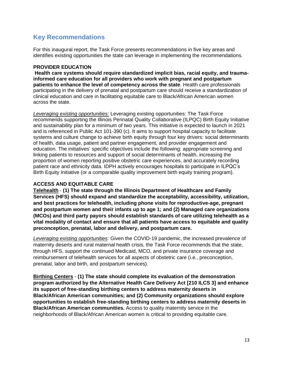# **Key Recommendations**

For this inaugural report, the Task Force presents recommendations in five key areas and identifies existing opportunities the state can leverage in implementing the recommendations.

## **PROVIDER EDUCATION**

**Health care systems should require standardized implicit bias, racial equity, and traumainformed care education for all providers who work with pregnant and postpartum patients to enhance the level of competency across the state**. Health care professionals participating in the delivery of prenatal and postpartum care should receive a standardization of clinical education and care in facilitating equitable care to Black/African American women across the state.

*Leveraging existing opportunities:* Leveraging existing opportunities: The Task Force recommends supporting the Illinois Perinatal Quality Collaborative (ILPQC) Birth Equity Initiative and sustainability plan for a minimum of two years. This initiative is expected to launch in 2021 and is referenced in Public Act 101-390 (c). It aims to support hospital capacity to facilitate systems and culture change to achieve birth equity through four key drivers: social determinants of health, data usage, patient and partner engagement, and provider engagement and education. The initiatives' specific objectives include the following: appropriate screening and linking patients to resources and support of social determinants of health, increasing the proportion of women reporting positive obstetric care experiences, and accurately recording patient race and ethnicity data. IDPH actively encourages hospitals to participate in ILPQC's Birth Equity Initiative (or a comparable quality improvement birth equity training program).

## **ACCESS AND EQUITABLE CARE**

**Telehealth** - **(1) The state through the Illinois Department of Healthcare and Family Services (HFS) should expand and standardize the acceptability, accessibility, utilization, and best practices for telehealth, including phone visits for reproductive-age, pregnant and postpartum women and their infants up to age 1; and (2) Managed care organizations (MCOs) and third party payors should establish standards of care utilizing telehealth as a vital modality of contact and ensure that all patients have access to equitable and quality preconception, prenatal, labor and delivery, and postpartum care.** 

*Leveraging existing opportunities*: Given the COVID-19 pandemic, the increased prevalence of maternity deserts and rural maternal health crisis, the Task Force recommends that the state, through HFS, support the continued Medicaid, MCO, and private insurance coverage and reimbursement of telehealth services for all aspects of obstetric care (i.e., preconception, prenatal, labor and birth, and postpartum services).

**Birthing Centers** - **(1) The state should complete its evaluation of the demonstration program authorized by the Alternative Health Care Delivery Act [210 ILCS 3] and enhance its support of free-standing birthing centers to address maternity deserts in Black/African American communities; and (2) Community organizations should explore opportunities to establish free-standing birthing centers to address maternity deserts in Black/African American communities.** Access to quality maternity service in the neighborhoods of Black/African American women is critical to providing equitable care.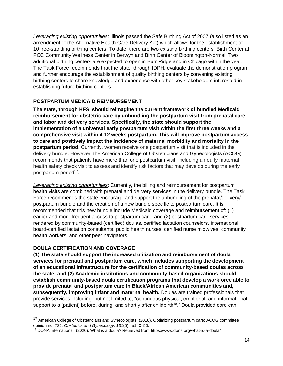*Leveraging existing opportunities*: Illinois passed the Safe Birthing Act of 2007 (also listed as an amendment of the Alternative Health Care Delivery Act) which allows for the establishment of 10 free-standing birthing centers. To date, there are two existing birthing centers: Birth Center at PCC Community Wellness Center in Berwyn and Birth Center of Bloomington-Normal. Two additional birthing centers are expected to open in Burr Ridge and in Chicago within the year. The Task Force recommends that the state, through IDPH, evaluate the demonstration program and further encourage the establishment of quality birthing centers by convening existing birthing centers to share knowledge and experience with other key stakeholders interested in establishing future birthing centers.

## **POSTPARTUM MEDICAID REIMBURSEMENT**

**The state, through HFS, should reimagine the current framework of bundled Medicaid reimbursement for obstetric care by unbundling the postpartum visit from prenatal care and labor and delivery services. Specifically, the state should support the implementation of a universal early postpartum visit within the first three weeks and a comprehensive visit within 4-12 weeks postpartum. This will improve postpartum access to care and positively impact the incidence of maternal morbidity and mortality in the postpartum period.** Currently, women receive one postpartum visit that is included in the delivery bundle. However, the American College of Obstetricians and Gynecologists (ACOG) recommends that patients have more than one postpartum visit, including an early maternal health safety check visit to assess and identify risk factors that may develop during the early postpartum period<sup>17</sup>.

*Leveraging existing opportunities*: Currently, the billing and reimbursement for postpartum health visits are combined with prenatal and delivery services in the delivery bundle. The Task Force recommends the state encourage and support the unbundling of the prenatal/delivery/ postpartum bundle and the creation of a new bundle specific to postpartum care. It is recommended that this new bundle include Medicaid coverage and reimbursement of: (1) earlier and more frequent access to postpartum care; and (2) postpartum care services rendered by community-based (certified) doulas, certified lactation counselors, international board-certified lactation consultants, public health nurses, certified nurse midwives, community health workers, and other peer navigators.

## **DOULA CERTIFICATION AND COVERAGE**

**(1) The state should support the increased utilization and reimbursement of doula services for prenatal and postpartum care, which includes supporting the development of an educational infrastructure for the certification of community-based doulas across the state; and (2) Academic institutions and community-based organizations should establish community-based doula certification programs that develop a workforce able to provide prenatal and postpartum care in Black/African American communities and, subsequently, improving infant and maternal health.** Doulas are trained professionals that provide services including, but not limited to, "continuous physical, emotional, and informational support to a [patient] before, during, and shortly after childbirth<sup>18</sup>." Doula provided care can

<sup>&</sup>lt;sup>17</sup> American College of Obstetricians and Gynecologists. (2018). Optimizing postpartum care: ACOG committee opinion no. 736. *Obstetrics and Gynecology, 131*(5), :e140–50.

<sup>&</sup>lt;sup>18</sup> DONA International. (2020). What is a doula? Retrieved from https://www.dona.org/what-is-a-doula/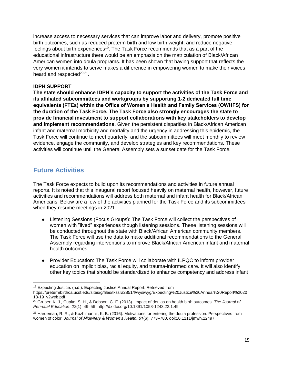increase access to necessary services that can improve labor and delivery, promote positive birth outcomes, such as reduced preterm birth and low birth weight, and reduce negative feelings about birth experiences<sup>19</sup>. The Task Force recommends that as a part of the educational infrastructure there would be an emphasis on the matriculation of Black/African American women into doula programs. It has been shown that having support that reflects the very women it intends to serve makes a difference in empowering women to make their voices heard and respected<sup>20,21</sup>.

## **IDPH SUPPORT**

**The state should enhance IDPH's capacity to support the activities of the Task Force and its affiliated subcommittees and workgroups by supporting 1-2 dedicated full time equivalents (FTEs) within the Office of Women's Health and Family Services (OWHFS) for the duration of the Task Force. The Task Force also strongly encourages the state to provide financial investment to support collaborations with key stakeholders to develop and implement recommendations.** Given the persistent disparities in Black/African American infant and maternal morbidity and mortality and the urgency in addressing this epidemic, the Task Force will continue to meet quarterly, and the subcommittees will meet monthly to review evidence, engage the community, and develop strategies and key recommendations. These activities will continue until the General Assembly sets a sunset date for the Task Force.

# **Future Activities**

The Task Force expects to build upon its recommendations and activities in future annual reports. It is noted that this inaugural report focused heavily on maternal health, however, future activities and recommendations will address both maternal and infant health for Black/African Americans. Below are a few of the activities planned for the Task Force and its subcommittees when they resume meetings in 2021.

- Listening Sessions (Focus Groups): The Task Force will collect the perspectives of women with "lived" experiences though listening sessions. These listening sessions will be conducted throughout the state with Black/African American community members. The Task Force will use the data to make additional recommendations to the General Assembly regarding interventions to improve Black/African American infant and maternal health outcomes.
- Provider Education: The Task Force will collaborate with ILPQC to inform provider education on implicit bias, racial equity, and trauma-informed care. It will also identify other key topics that should be standardized to enhance competency and address infant

<sup>&</sup>lt;sup>19</sup> Expecting Justice. (n.d.). Expecting Justice Annual Report. Retrieved from https://pretermbirthca.ucsf.edu/sites/g/files/tkssra2851/f/wysiwyg/Expecting%20Justice%20Annual%20Report%2020

<sup>18-19</sup>\_v2web.pdf

<sup>20</sup> Gruber, K. J., Cupito, S. H., & Dobson, C. F. (2013). Impact of doulas on health birth outcomes. *The Journal of Perinatal Education*, *22*(1), 49–56. http://dx.doi.org/10.1891/1058-1243.22.1.49

<sup>&</sup>lt;sup>21</sup> Hardeman, R. R., & Kozhimannil, K. B. (2016). Motivations for entering the doula profession: Perspectives from women of color. *Journal of Midwifery & Women's Health, 61*(6): 773–780. doi:10.1111/jmwh.12497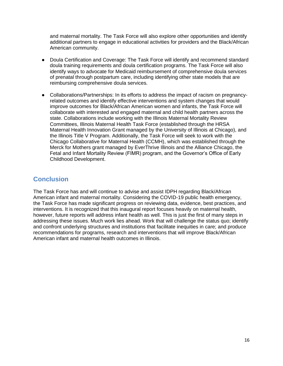and maternal mortality. The Task Force will also explore other opportunities and identify additional partners to engage in educational activities for providers and the Black/African American community.

- Doula Certification and Coverage: The Task Force will identify and recommend standard doula training requirements and doula certification programs. The Task Force will also identify ways to advocate for Medicaid reimbursement of comprehensive doula services of prenatal through postpartum care, including identifying other state models that are reimbursing comprehensive doula services.
- Collaborations/Partnerships: In its efforts to address the impact of racism on pregnancyrelated outcomes and identify effective interventions and system changes that would improve outcomes for Black/African American women and infants, the Task Force will collaborate with interested and engaged maternal and child health partners across the state. Collaborations include working with the Illinois Maternal Mortality Review Committees, Illinois Maternal Health Task Force (established through the HRSA Maternal Health Innovation Grant managed by the University of Illinois at Chicago), and the Illinois Title V Program. Additionally, the Task Force will seek to work with the Chicago Collaborative for Maternal Health (CCMH), which was established through the Merck for Mothers grant managed by EverThrive Illinois and the Alliance Chicago, the Fetal and Infant Mortality Review (FIMR) program, and the Governor's Office of Early Childhood Development.

# **Conclusion**

The Task Force has and will continue to advise and assist IDPH regarding Black/African American infant and maternal mortality. Considering the COVID-19 public health emergency, the Task Force has made significant progress on reviewing data, evidence, best practices, and interventions. It is recognized that this inaugural report focuses heavily on maternal health, however, future reports will address infant health as well. This is just the first of many steps in addressing these issues. Much work lies ahead. Work that will challenge the status quo; identify and confront underlying structures and institutions that facilitate inequities in care; and produce recommendations for programs, research and interventions that will improve Black/African American infant and maternal health outcomes in Illinois.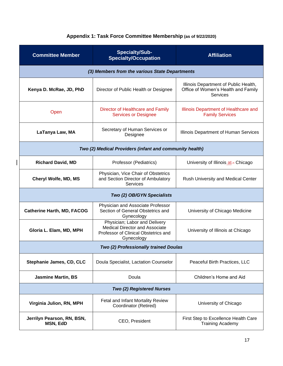| <b>Committee Member</b>                                 | <b>Specialty/Sub-</b><br><b>Specialty/Occupation</b>                                                                         | <b>Affiliation</b>                                                                       |  |  |  |
|---------------------------------------------------------|------------------------------------------------------------------------------------------------------------------------------|------------------------------------------------------------------------------------------|--|--|--|
|                                                         | (3) Members from the various State Departments                                                                               |                                                                                          |  |  |  |
| Kenya D. McRae, JD, PhD                                 | Director of Public Health or Designee                                                                                        | Illinois Department of Public Health,<br>Office of Women's Health and Family<br>Services |  |  |  |
| Open                                                    | Director of Healthcare and Family<br><b>Services or Designee</b>                                                             | Illinois Department of Healthcare and<br><b>Family Services</b>                          |  |  |  |
| LaTanya Law, MA                                         | Secretary of Human Services or<br>Designee                                                                                   | Illinois Department of Human Services                                                    |  |  |  |
| Two (2) Medical Providers (infant and community health) |                                                                                                                              |                                                                                          |  |  |  |
| <b>Richard David, MD</b>                                | Professor (Pediatrics)                                                                                                       | University of Illinois at- Chicago                                                       |  |  |  |
| <b>Cheryl Wolfe, MD, MS</b>                             | Physician, Vice Chair of Obstetrics<br>and Section Director of Ambulatory<br>Services                                        | Rush University and Medical Center                                                       |  |  |  |
| Two (2) OB/GYN Specialists                              |                                                                                                                              |                                                                                          |  |  |  |
| <b>Catherine Harth, MD, FACOG</b>                       | Physician and Associate Professor<br>Section of General Obstetrics and<br>Gynecology                                         | University of Chicago Medicine                                                           |  |  |  |
| Gloria L. Elam, MD, MPH                                 | Physician; Labor and Delivery<br><b>Medical Director and Associate</b><br>Professor of Clinical Obstetrics and<br>Gynecology | University of Illinois at Chicago                                                        |  |  |  |
| Two (2) Professionally trained Doulas                   |                                                                                                                              |                                                                                          |  |  |  |
| Stephanie James, CD, CLC                                | Doula Specialist, Lactation Counselor                                                                                        | Peaceful Birth Practices, LLC                                                            |  |  |  |
| <b>Jasmine Martin, BS</b>                               | Doula                                                                                                                        | Children's Home and Aid                                                                  |  |  |  |
| <b>Two (2) Registered Nurses</b>                        |                                                                                                                              |                                                                                          |  |  |  |
| Virginia Julion, RN, MPH                                | Fetal and Infant Mortality Review<br>Coordinator (Retired)                                                                   | University of Chicago                                                                    |  |  |  |
| Jerrilyn Pearson, RN, BSN,<br>MSN, EdD                  | CEO, President                                                                                                               | First Step to Excellence Health Care<br><b>Training Academy</b>                          |  |  |  |

 $\overline{\phantom{a}}$ 

# **Appendix 1: Task Force Committee Membership (as of 9/22/2020)**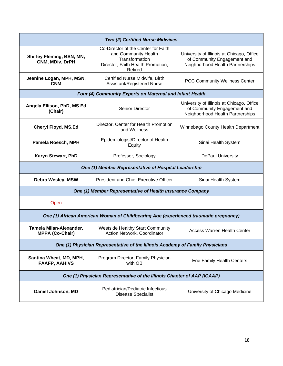| Two (2) Certified Nurse Midwives                                              |                                                                                                                               |                                                                                                              |  |  |
|-------------------------------------------------------------------------------|-------------------------------------------------------------------------------------------------------------------------------|--------------------------------------------------------------------------------------------------------------|--|--|
| Shirley Fleming, BSN, MN,<br>CNM, MDiv, DrPH                                  | Co-Director of the Center for Faith<br>and Community Health<br>Transformation<br>Director, Faith Health Promotion,<br>Retired | University of Illinois at Chicago, Office<br>of Community Engagement and<br>Neighborhood Health Partnerships |  |  |
| Jeanine Logan, MPH, MSN,<br><b>CNM</b>                                        | Certified Nurse Midwife, Birth<br>Assistant/Registered Nurse                                                                  | <b>PCC Community Wellness Center</b>                                                                         |  |  |
|                                                                               | Four (4) Community Experts on Maternal and Infant Health                                                                      |                                                                                                              |  |  |
| Angela Ellison, PhD, MS.Ed<br>(Chair)                                         | <b>Senior Director</b>                                                                                                        | University of Illinois at Chicago, Office<br>of Community Engagement and<br>Neighborhood Health Partnerships |  |  |
| Cheryl Floyd, MS.Ed                                                           | Director, Center for Health Promotion<br>and Wellness                                                                         | Winnebago County Health Department                                                                           |  |  |
| Pamela Roesch, MPH                                                            | Epidemiologist/Director of Health<br>Equity                                                                                   | Sinai Health System                                                                                          |  |  |
| Karyn Stewart, PhD                                                            | Professor, Sociology                                                                                                          | <b>DePaul University</b>                                                                                     |  |  |
| One (1) Member Representative of Hospital Leadership                          |                                                                                                                               |                                                                                                              |  |  |
| Debra Wesley, MSW                                                             | <b>President and Chief Executive Officer</b>                                                                                  | Sinai Health System                                                                                          |  |  |
| One (1) Member Representative of Health Insurance Company                     |                                                                                                                               |                                                                                                              |  |  |
| Open                                                                          |                                                                                                                               |                                                                                                              |  |  |
|                                                                               | One (1) African American Woman of Childbearing Age (experienced traumatic pregnancy)                                          |                                                                                                              |  |  |
| Tamela Milan-Alexander,<br><b>MPPA (Co-Chair)</b>                             | <b>Westside Healthy Start Community</b><br>Action Network, Coordinator                                                        | <b>Access Warren Health Center</b>                                                                           |  |  |
| One (1) Physician Representative of the Illinois Academy of Family Physicians |                                                                                                                               |                                                                                                              |  |  |
| Santina Wheat, MD, MPH,<br><b>FAAFP, AAHIVS</b>                               | Program Director, Family Physician<br>with OB                                                                                 | <b>Erie Family Health Centers</b>                                                                            |  |  |
| One (1) Physician Representative of the Illinois Chapter of AAP (ICAAP)       |                                                                                                                               |                                                                                                              |  |  |
| Daniel Johnson, MD                                                            | Pediatrician/Pediatric Infectious<br><b>Disease Specialist</b>                                                                | University of Chicago Medicine                                                                               |  |  |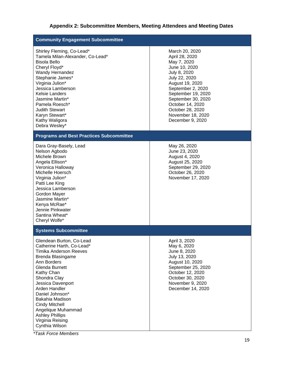# **Appendix 2: Subcommittee Members, Meeting Attendees and Meeting Dates**

| <b>Community Engagement Subcommittee</b>                                                                                                                                                                                                                                                                                                                              |                                                                                                                                                                                                                                                                        |
|-----------------------------------------------------------------------------------------------------------------------------------------------------------------------------------------------------------------------------------------------------------------------------------------------------------------------------------------------------------------------|------------------------------------------------------------------------------------------------------------------------------------------------------------------------------------------------------------------------------------------------------------------------|
| Shirley Fleming, Co-Lead*<br>Tamela Milan-Alexander, Co-Lead*<br><b>Bisola Bello</b><br>Cheryl Floyd*<br><b>Wandy Hernandez</b><br>Stephanie James*<br>Virginia Julion*<br>Jessica Lamberson<br><b>Kelsie Landers</b><br>Jasmine Martin*<br>Pamela Roesch*<br><b>Judith Stewart</b><br>Karyn Stewart*<br>Kathy Waligora<br>Debra Wesley*                              | March 20, 2020<br>April 28, 2020<br>May 7, 2020<br>June 10, 2020<br>July 8, 2020<br>July 22, 2020<br>August 19, 2020<br>September 2, 2020<br>September 19, 2020<br>September 30, 2020<br>October 14, 2020<br>October 28, 2020<br>November 18, 2020<br>December 9, 2020 |
| <b>Programs and Best Practices Subcommittee</b>                                                                                                                                                                                                                                                                                                                       |                                                                                                                                                                                                                                                                        |
| Dara Gray-Basely, Lead<br>Nelson Agbodo<br>Michele Brown<br>Angela Ellison*<br>Veronica Halloway<br>Michelle Hoersch<br>Virginia Julion*<br>Patti Lee King<br>Jessica Lamberson<br>Gordon Mayer<br>Jasmine Martin*<br>Kenya McRae*<br>Jennie Pinkwater<br>Santina Wheat*<br>Cheryl Wolfe*                                                                             | May 26, 2020<br>June 23, 2020<br>August 4, 2020<br>August 25, 2020<br>September 29, 2020<br>October 26, 2020<br>November 17, 2020                                                                                                                                      |
| <b>Systems Subcommittee</b>                                                                                                                                                                                                                                                                                                                                           |                                                                                                                                                                                                                                                                        |
| Glendean Burton, Co-Lead<br>Catherine Harth, Co-Lead*<br><b>Timika Anderson Reeves</b><br>Brenda Blasingame<br>Ann Borders<br>Glenda Burnett<br>Kathy Chan<br>Shondra Clay<br>Jessica Davenport<br>Arden Handler<br>Daniel Johnson*<br>Bakahia Madison<br><b>Cindy Mitchell</b><br>Angelique Muhammad<br><b>Ashley Phillips</b><br>Virginia Reising<br>Cynthia Wilson | April 3, 2020<br>May 6, 2020<br>June 8, 2020<br>July 13, 2020<br>August 10, 2020<br>September 25, 2020<br>October 12, 2020<br>October 30, 2020<br>November 9, 2020<br>December 14, 2020                                                                                |

*\*Task Force Members*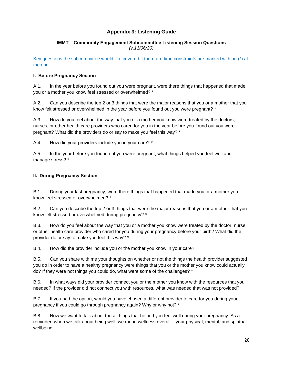## **Appendix 3: Listening Guide**

#### **IMMT – Community Engagement Subcommittee Listening Session Questions** *(v.11/06/20)*

Key questions the subcommittee would like covered if there are time constraints are marked with an (\*) at the end.

#### **I. Before Pregnancy Section**

A.1. In the year before you found out you were pregnant, were there things that happened that made you or a mother you know feel stressed or overwhelmed? \*

A.2. Can you describe the top 2 or 3 things that were the major reasons that you or a mother that you know felt stressed or overwhelmed in the year before you found out you were pregnant? \*

A.3. How do you feel about the way that you or a mother you know were treated by the doctors, nurses, or other health care providers who cared for you in the year before you found out you were pregnant? What did the providers do or say to make you feel this way? \*

A.4. How did your providers include you in your care? \*

A.5. In the year before you found out you were pregnant, what things helped you feel well and manage stress? \*

#### **II. During Pregnancy Section**

B.1. During your last pregnancy, were there things that happened that made you or a mother you know feel stressed or overwhelmed? \*

B.2. Can you describe the top 2 or 3 things that were the major reasons that you or a mother that you know felt stressed or overwhelmed during pregnancy? \*

B.3. How do you feel about the way that you or a mother you know were treated by the doctor, nurse, or other health care provider who cared for you during your pregnancy before your birth? What did the provider do or say to make you feel this way? \*

B.4. How did the provider include you or the mother you know in your care?

B.5. Can you share with me your thoughts on whether or not the things the health provider suggested you do in order to have a healthy pregnancy were things that you or the mother you know could actually do? If they were not things you could do, what were some of the challenges? \*

B.6. In what ways did your provider connect you or the mother you know with the resources that you needed? If the provider did not connect you with resources, what was needed that was not provided?

B.7. If you had the option, would you have chosen a different provider to care for you during your pregnancy if you could go through pregnancy again? Why or why not? \*

B.8. Now we want to talk about those things that helped you feel well during your pregnancy. As a reminder, when we talk about being well, we mean wellness overall – your physical, mental, and spiritual wellbeing.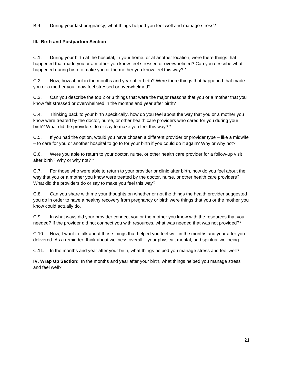B.9 During your last pregnancy, what things helped you feel well and manage stress?

## **III. Birth and Postpartum Section**

C.1. During your birth at the hospital, in your home, or at another location, were there things that happened that made you or a mother you know feel stressed or overwhelmed? Can you describe what happened during birth to make you or the mother you know feel this way? \*

C.2. Now, how about in the months and year after birth? Were there things that happened that made you or a mother you know feel stressed or overwhelmed?

C.3. Can you describe the top 2 or 3 things that were the major reasons that you or a mother that you know felt stressed or overwhelmed in the months and year after birth?

C.4. Thinking back to your birth specifically, how do you feel about the way that you or a mother you know were treated by the doctor, nurse, or other health care providers who cared for you during your birth? What did the providers do or say to make you feel this way? \*

C.5. If you had the option, would you have chosen a different provider or provider type – like a midwife – to care for you or another hospital to go to for your birth if you could do it again? Why or why not?

C.6. Were you able to return to your doctor, nurse, or other health care provider for a follow-up visit after birth? Why or why not? \*

C.7. For those who were able to return to your provider or clinic after birth, how do you feel about the way that you or a mother you know were treated by the doctor, nurse, or other health care providers? What did the providers do or say to make you feel this way?

C.8. Can you share with me your thoughts on whether or not the things the health provider suggested you do in order to have a healthy recovery from pregnancy or birth were things that you or the mother you know could actually do.

C.9. In what ways did your provider connect you or the mother you know with the resources that you needed? If the provider did not connect you with resources, what was needed that was not provided?\*

C.10. Now, I want to talk about those things that helped you feel well in the months and year after you delivered. As a reminder, think about wellness overall – your physical, mental, and spiritual wellbeing.

C.11. In the months and year after your birth, what things helped you manage stress and feel well?

**IV. Wrap Up Section**: In the months and year after your birth, what things helped you manage stress and feel well?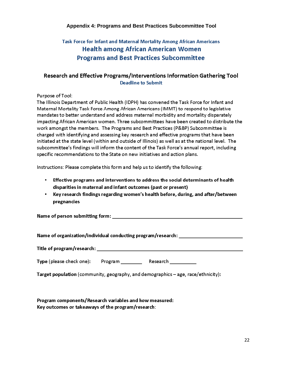## **Appendix 4: Programs and Best Practices Subcommittee Tool**

# Task Force for Infant and Maternal Mortality Among African Americans **Health among African American Women Programs and Best Practices Subcommittee**

## Research and Effective Programs/Interventions Information Gathering Tool **Deadline to Submit**

Purpose of Tool:

The Illinois Department of Public Health (IDPH) has convened the Task Force for Infant and Maternal Mortality Task Force Among African Americans (IMMT) to respond to legislative mandates to better understand and address maternal morbidity and mortality disparately impacting African American women. Three subcommittees have been created to distribute the work amongst the members. The Programs and Best Practices (P&BP) Subcommittee is charged with identifying and assessing key research and effective programs that have been initiated at the state level (within and outside of Illinois) as well as at the national level. The subcommittee's findings will inform the content of the Task Force's annual report, including specific recommendations to the State on new initiatives and action plans.

Instructions: Please complete this form and help us to identify the following:

- . Effective programs and interventions to address the social determinants of health disparities in maternal and infant outcomes (past or present)
- Key research findings regarding women's health before, during, and after/between pregnancies

Name of person submitting form: with a state of the control of the control of the control of the control of the

Name of organization/individual conducting program/research: www.community.com/

| Type (please check one): | Program | Research |
|--------------------------|---------|----------|
|--------------------------|---------|----------|

Target population (community, geography, and demographics - age, race/ethnicity):

Program components/Research variables and how measured: Key outcomes or takeaways of the program/research: